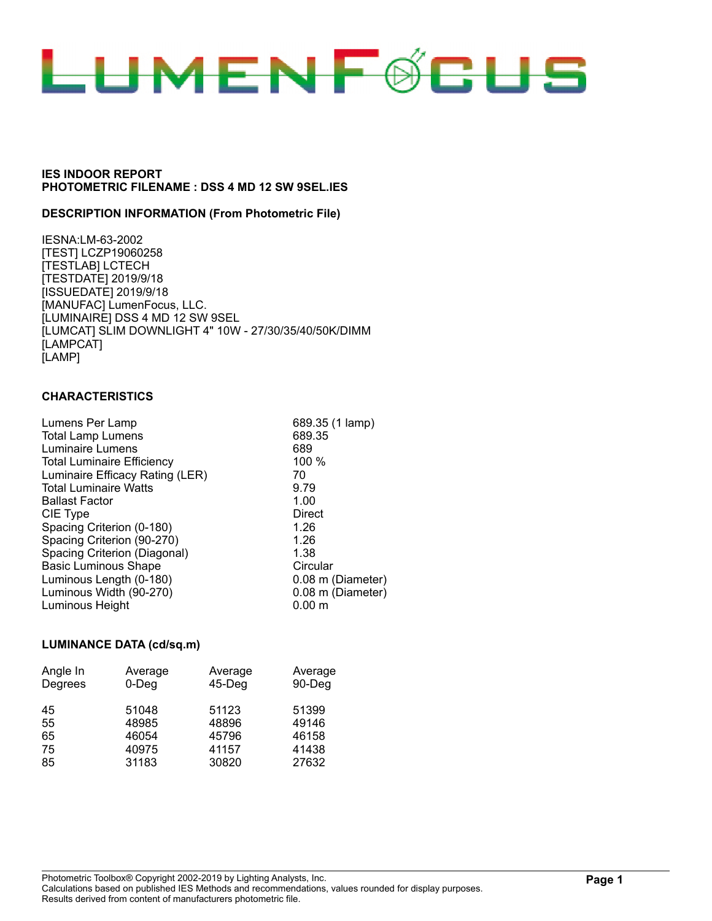

#### **DESCRIPTION INFORMATION (From Photometric File)**

IESNA:LM-63-2002 [TEST] LCZP19060258 [TESTLAB] LCTECH [TESTDATE] 2019/9/18 [ISSUEDATE] 2019/9/18 [MANUFAC] LumenFocus, LLC. [LUMINAIRE] DSS 4 MD 12 SW 9SEL [LUMCAT] SLIM DOWNLIGHT 4" 10W - 27/30/35/40/50K/DIMM [LAMPCAT] [LAMP]

## **CHARACTERISTICS**

| Lumens Per Lamp                   | 689.35 (1 lamp)   |
|-----------------------------------|-------------------|
| <b>Total Lamp Lumens</b>          | 689.35            |
| Luminaire Lumens                  | 689               |
| <b>Total Luminaire Efficiency</b> | $100\%$           |
| Luminaire Efficacy Rating (LER)   | 70                |
| <b>Total Luminaire Watts</b>      | 9.79              |
| <b>Ballast Factor</b>             | 1.00              |
| CIE Type                          | Direct            |
| Spacing Criterion (0-180)         | 1.26              |
| Spacing Criterion (90-270)        | 1.26              |
| Spacing Criterion (Diagonal)      | 1.38              |
| <b>Basic Luminous Shape</b>       | Circular          |
| Luminous Length (0-180)           | 0.08 m (Diameter) |
| Luminous Width (90-270)           | 0.08 m (Diameter) |
| Luminous Height                   | $0.00 \;{\rm m}$  |
|                                   |                   |

#### **LUMINANCE DATA (cd/sq.m)**

| Angle In | Average  | Average   | Average |
|----------|----------|-----------|---------|
| Degrees  | $0$ -Deg | $45-$ Deg | 90-Deg  |
| 45       | 51048    | 51123     | 51399   |
| 55       | 48985    | 48896     | 49146   |
| 65       | 46054    | 45796     | 46158   |
| 75       | 40975    | 41157     | 41438   |
| 85       | 31183    | 30820     | 27632   |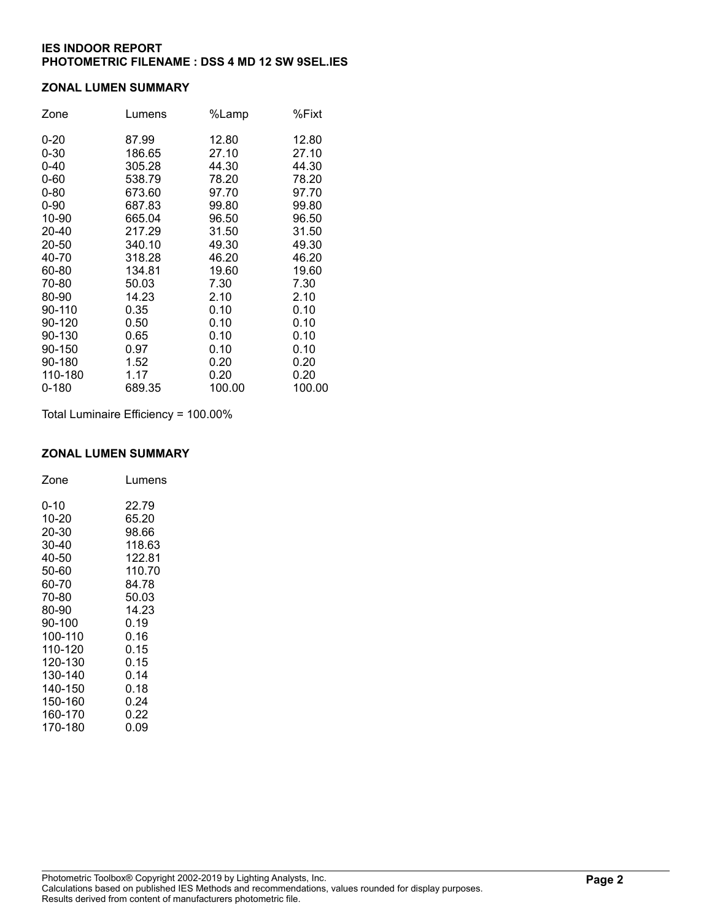## **ZONAL LUMEN SUMMARY**

| Zone     | Lumens | %Lamp  | %Fixt  |
|----------|--------|--------|--------|
| $0 - 20$ | 87.99  | 12.80  | 12.80  |
| $0 - 30$ | 186.65 | 27.10  | 27.10  |
| $0 - 40$ | 305.28 | 44.30  | 44.30  |
| $0 - 60$ | 538.79 | 78.20  | 78.20  |
| $0 - 80$ | 673.60 | 97.70  | 97.70  |
| $0 - 90$ | 687.83 | 99.80  | 99.80  |
| 10-90    | 665.04 | 96.50  | 96.50  |
| 20-40    | 217.29 | 31.50  | 31.50  |
| 20-50    | 340.10 | 49.30  | 49.30  |
| 40-70    | 318.28 | 46.20  | 46.20  |
| 60-80    | 134.81 | 19.60  | 19.60  |
| 70-80    | 50.03  | 7.30   | 7.30   |
| 80-90    | 14.23  | 2.10   | 2.10   |
| 90-110   | 0.35   | 0.10   | 0.10   |
| 90-120   | 0.50   | 0.10   | 0.10   |
| 90-130   | 0.65   | 0.10   | 0.10   |
| 90-150   | 0.97   | 0.10   | 0.10   |
| 90-180   | 1.52   | 0.20   | 0.20   |
| 110-180  | 1.17   | 0.20   | 0.20   |
| 0-180    | 689.35 | 100.00 | 100.00 |

Total Luminaire Efficiency = 100.00%

#### **ZONAL LUMEN SUMMARY**

| Zone    | Lumens |
|---------|--------|
| 0-10    | 22.79  |
| 10-20   | 65.20  |
| 20-30   | 98.66  |
| 30-40   | 118.63 |
| 40-50   | 122.81 |
| 50-60   | 110.70 |
| 60-70   | 84.78  |
| 70-80   | 50.03  |
| 80-90   | 14.23  |
| 90-100  | 0.19   |
| 100-110 | 0.16   |
| 110-120 | 0.15   |
| 120-130 | 0.15   |
| 130-140 | 0.14   |
| 140-150 | 0.18   |
| 150-160 | 0.24   |
| 160-170 | 0.22   |
| 170-180 | 0.09   |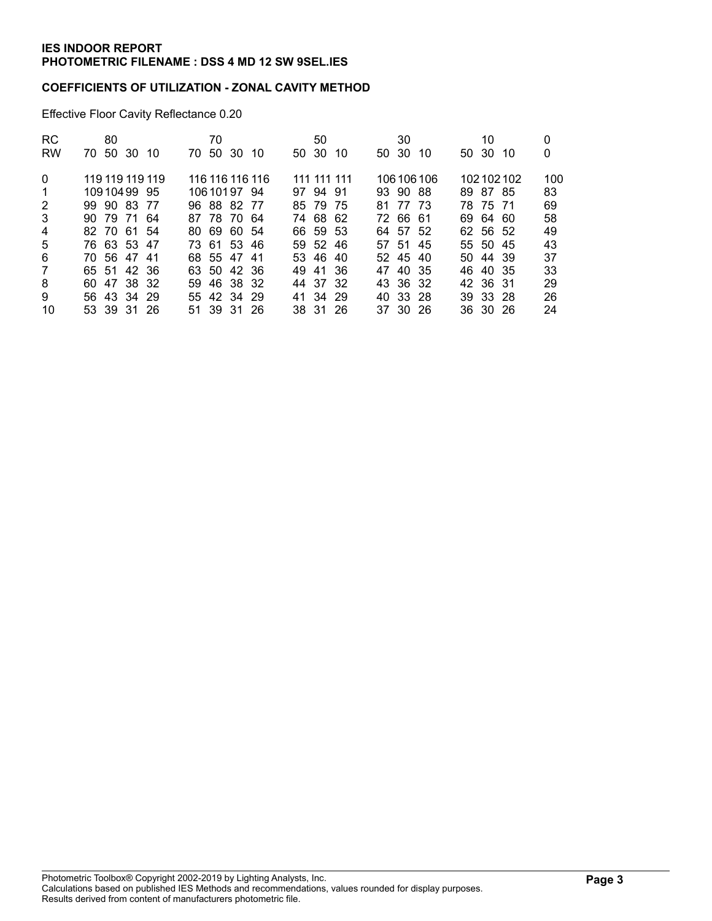# **COEFFICIENTS OF UTILIZATION - ZONAL CAVITY METHOD**

Effective Floor Cavity Reflectance 0.20

| <b>RC</b>      | 80              |                 | 70       |     |          | 50          |     |       | 30       |             |       | 10       |           | 0   |
|----------------|-----------------|-----------------|----------|-----|----------|-------------|-----|-------|----------|-------------|-------|----------|-----------|-----|
| <b>RW</b>      | 70 50 30 10     | 70.             | 50 30    | -10 | 50 30    |             | -10 | 50 30 |          | 10          | 50 30 |          | -10       | 0   |
| $\Omega$       | 119 119 119 119 | 116 116 116 116 |          |     |          | 111 111 111 |     |       |          | 106 106 106 |       |          | 102102102 | 100 |
| -1             | 10910499 95     | 106 101 97 94   |          |     |          | 97 94 91    |     |       | 93 90 88 |             |       | 89 87 85 |           | 83  |
| 2              | 99 90 83 77     | 96 88 82 77     |          |     |          | 85 79 75    |     | 81    | 77 73    |             |       | 78 75 71 |           | 69  |
| 3              | 90 79 71 64     | 87 78 70 64     |          |     |          | 74 68 62    |     |       | 72 66 61 |             |       | 69 64 60 |           | 58  |
| 4              | 82 70 61 54     | 80 69 60 54     |          |     |          | 66 59 53    |     |       | 64 57 52 |             |       | 62 56 52 |           | 49  |
| 5              | 76 63 53 47     | 73 61 53 46     |          |     |          | 59 52 46    |     |       | 57 51 45 |             |       | 55 50 45 |           | 43  |
| 6              | 70 56 47 41     | 68 55 47 41     |          |     |          | 53 46 40    |     |       | 52 45 40 |             |       | 50 44 39 |           | 37  |
| $\overline{7}$ | 65 51 42 36     | 63 50 42 36     |          |     |          | 49 41 36    |     |       | 47 40 35 |             |       | 46 40 35 |           | 33  |
| 8              | 47 38 32<br>60. | 59.             | 46 38 32 |     | 44 37 32 |             |     |       | 43 36 32 |             |       | 42 36 31 |           | 29  |
| 9              | 56 43 34 29     | 55 42 34 29     |          |     |          | 41 34 29    |     |       | 40 33 28 |             |       | 39 33 28 |           | 26  |
| 10             | 53 39 31 26     | 51 39 31 26     |          |     |          | 38 31 26    |     |       | 37 30 26 |             |       | 36 30 26 |           | 24  |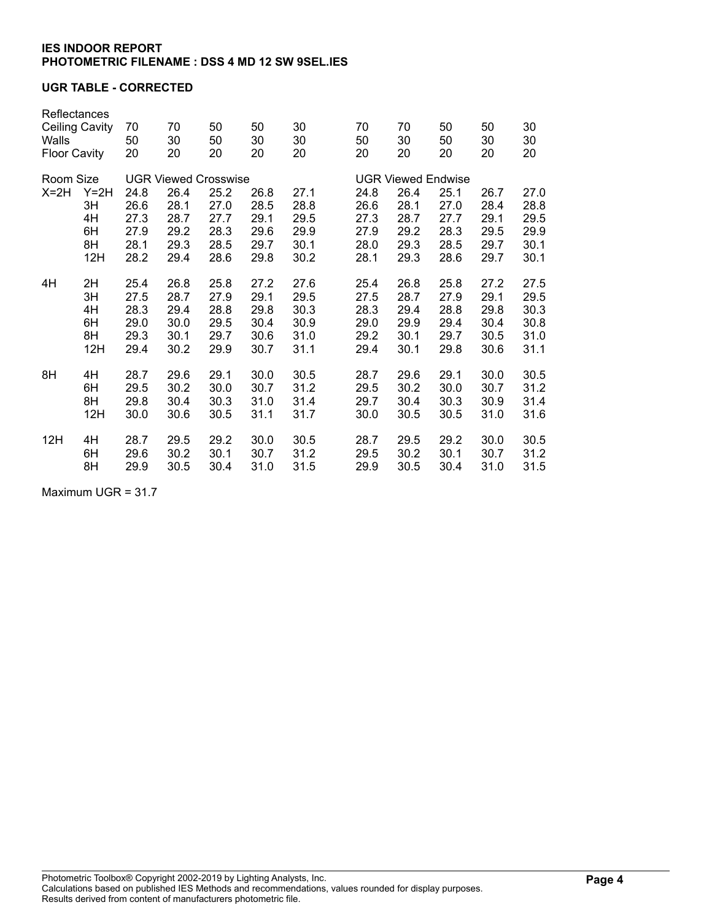# **UGR TABLE - CORRECTED**

| Reflectances                 |        |      |                             |          |          |      |                           |          |      |      |          |  |
|------------------------------|--------|------|-----------------------------|----------|----------|------|---------------------------|----------|------|------|----------|--|
| Ceiling Cavity               |        | 70   | 70                          | 50<br>50 | 50<br>30 | 30   | 70<br>50                  | 70<br>30 | 50   | 50   | 30<br>30 |  |
| Walls<br><b>Floor Cavity</b> |        | 50   | 30                          |          |          | 30   |                           |          | 50   | 30   |          |  |
|                              |        | 20   | 20                          | 20       | 20       | 20   | 20                        | 20       | 20   | 20   | 20       |  |
| Room Size                    |        |      | <b>UGR Viewed Crosswise</b> |          |          |      | <b>UGR Viewed Endwise</b> |          |      |      |          |  |
| $X=2H$                       | $Y=2H$ | 24.8 | 26.4                        | 25.2     | 26.8     | 27.1 | 24.8                      | 26.4     | 25.1 | 26.7 | 27.0     |  |
|                              | 3H     | 26.6 | 28.1                        | 27.0     | 28.5     | 28.8 | 26.6                      | 28.1     | 27.0 | 28.4 | 28.8     |  |
|                              | 4H     | 27.3 | 28.7                        | 27.7     | 29.1     | 29.5 | 27.3                      | 28.7     | 27.7 | 29.1 | 29.5     |  |
|                              | 6H     | 27.9 | 29.2                        | 28.3     | 29.6     | 29.9 | 27.9                      | 29.2     | 28.3 | 29.5 | 29.9     |  |
|                              | 8H     | 28.1 | 29.3                        | 28.5     | 29.7     | 30.1 | 28.0                      | 29.3     | 28.5 | 29.7 | 30.1     |  |
|                              | 12H    | 28.2 | 29.4                        | 28.6     | 29.8     | 30.2 | 28.1                      | 29.3     | 28.6 | 29.7 | 30.1     |  |
| 4H                           | 2H     | 25.4 | 26.8                        | 25.8     | 27.2     | 27.6 | 25.4                      | 26.8     | 25.8 | 27.2 | 27.5     |  |
|                              | 3H     | 27.5 | 28.7                        | 27.9     | 29.1     | 29.5 | 27.5                      | 28.7     | 27.9 | 29.1 | 29.5     |  |
|                              | 4H     | 28.3 | 29.4                        | 28.8     | 29.8     | 30.3 | 28.3                      | 29.4     | 28.8 | 29.8 | 30.3     |  |
|                              | 6H     | 29.0 | 30.0                        | 29.5     | 30.4     | 30.9 | 29.0                      | 29.9     | 29.4 | 30.4 | 30.8     |  |
|                              | 8H     | 29.3 | 30.1                        | 29.7     | 30.6     | 31.0 | 29.2                      | 30.1     | 29.7 | 30.5 | 31.0     |  |
|                              | 12H    | 29.4 | 30.2                        | 29.9     | 30.7     | 31.1 | 29.4                      | 30.1     | 29.8 | 30.6 | 31.1     |  |
| 8H                           | 4H     | 28.7 | 29.6                        | 29.1     | 30.0     | 30.5 | 28.7                      | 29.6     | 29.1 | 30.0 | 30.5     |  |
|                              | 6H     | 29.5 | 30.2                        | 30.0     | 30.7     | 31.2 | 29.5                      | 30.2     | 30.0 | 30.7 | 31.2     |  |
|                              | 8H     | 29.8 | 30.4                        | 30.3     | 31.0     | 31.4 | 29.7                      | 30.4     | 30.3 | 30.9 | 31.4     |  |
|                              | 12H    | 30.0 | 30.6                        | 30.5     | 31.1     | 31.7 | 30.0                      | 30.5     | 30.5 | 31.0 | 31.6     |  |
| 12H                          | 4H     | 28.7 | 29.5                        | 29.2     | 30.0     | 30.5 | 28.7                      | 29.5     | 29.2 | 30.0 | 30.5     |  |
|                              | 6H     | 29.6 | 30.2                        | 30.1     | 30.7     | 31.2 | 29.5                      | 30.2     | 30.1 | 30.7 | 31.2     |  |
|                              | 8H     | 29.9 | 30.5                        | 30.4     | 31.0     | 31.5 | 29.9                      | 30.5     | 30.4 | 31.0 | 31.5     |  |

Maximum UGR = 31.7